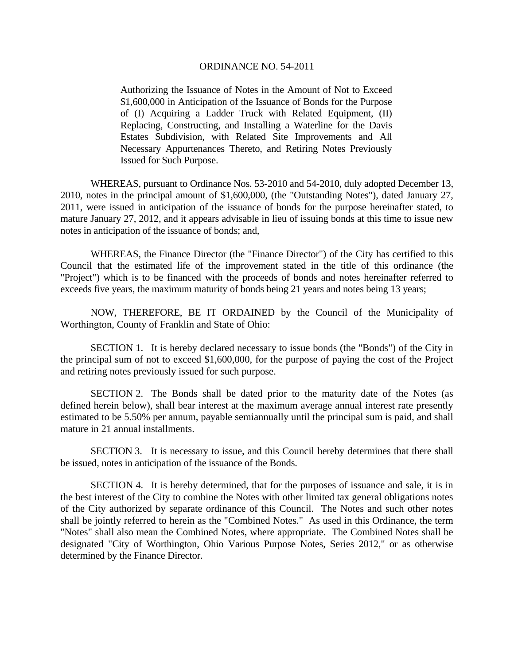Authorizing the Issuance of Notes in the Amount of Not to Exceed \$1,600,000 in Anticipation of the Issuance of Bonds for the Purpose of (I) Acquiring a Ladder Truck with Related Equipment, (II) Replacing, Constructing, and Installing a Waterline for the Davis Estates Subdivision, with Related Site Improvements and All Necessary Appurtenances Thereto, and Retiring Notes Previously Issued for Such Purpose.

 WHEREAS, pursuant to Ordinance Nos. 53-2010 and 54-2010, duly adopted December 13, 2010, notes in the principal amount of \$1,600,000, (the "Outstanding Notes"), dated January 27, 2011, were issued in anticipation of the issuance of bonds for the purpose hereinafter stated, to mature January 27, 2012, and it appears advisable in lieu of issuing bonds at this time to issue new notes in anticipation of the issuance of bonds; and,

 WHEREAS, the Finance Director (the "Finance Director") of the City has certified to this Council that the estimated life of the improvement stated in the title of this ordinance (the "Project") which is to be financed with the proceeds of bonds and notes hereinafter referred to exceeds five years, the maximum maturity of bonds being 21 years and notes being 13 years;

 NOW, THEREFORE, BE IT ORDAINED by the Council of the Municipality of Worthington, County of Franklin and State of Ohio:

SECTION 1. It is hereby declared necessary to issue bonds (the "Bonds") of the City in the principal sum of not to exceed \$1,600,000, for the purpose of paying the cost of the Project and retiring notes previously issued for such purpose.

SECTION 2. The Bonds shall be dated prior to the maturity date of the Notes (as defined herein below), shall bear interest at the maximum average annual interest rate presently estimated to be 5.50% per annum, payable semiannually until the principal sum is paid, and shall mature in 21 annual installments.

SECTION 3. It is necessary to issue, and this Council hereby determines that there shall be issued, notes in anticipation of the issuance of the Bonds.

SECTION 4. It is hereby determined, that for the purposes of issuance and sale, it is in the best interest of the City to combine the Notes with other limited tax general obligations notes of the City authorized by separate ordinance of this Council. The Notes and such other notes shall be jointly referred to herein as the "Combined Notes." As used in this Ordinance, the term "Notes" shall also mean the Combined Notes, where appropriate. The Combined Notes shall be designated "City of Worthington, Ohio Various Purpose Notes, Series 2012," or as otherwise determined by the Finance Director.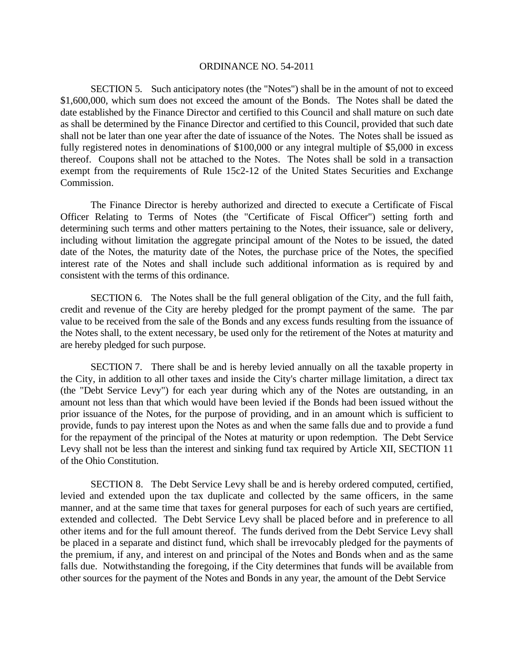SECTION 5. Such anticipatory notes (the "Notes") shall be in the amount of not to exceed \$1,600,000, which sum does not exceed the amount of the Bonds. The Notes shall be dated the date established by the Finance Director and certified to this Council and shall mature on such date as shall be determined by the Finance Director and certified to this Council, provided that such date shall not be later than one year after the date of issuance of the Notes. The Notes shall be issued as fully registered notes in denominations of \$100,000 or any integral multiple of \$5,000 in excess thereof. Coupons shall not be attached to the Notes. The Notes shall be sold in a transaction exempt from the requirements of Rule 15c2-12 of the United States Securities and Exchange Commission.

 The Finance Director is hereby authorized and directed to execute a Certificate of Fiscal Officer Relating to Terms of Notes (the "Certificate of Fiscal Officer") setting forth and determining such terms and other matters pertaining to the Notes, their issuance, sale or delivery, including without limitation the aggregate principal amount of the Notes to be issued, the dated date of the Notes, the maturity date of the Notes, the purchase price of the Notes, the specified interest rate of the Notes and shall include such additional information as is required by and consistent with the terms of this ordinance.

SECTION 6. The Notes shall be the full general obligation of the City, and the full faith, credit and revenue of the City are hereby pledged for the prompt payment of the same. The par value to be received from the sale of the Bonds and any excess funds resulting from the issuance of the Notes shall, to the extent necessary, be used only for the retirement of the Notes at maturity and are hereby pledged for such purpose.

SECTION 7. There shall be and is hereby levied annually on all the taxable property in the City, in addition to all other taxes and inside the City's charter millage limitation, a direct tax (the "Debt Service Levy") for each year during which any of the Notes are outstanding, in an amount not less than that which would have been levied if the Bonds had been issued without the prior issuance of the Notes, for the purpose of providing, and in an amount which is sufficient to provide, funds to pay interest upon the Notes as and when the same falls due and to provide a fund for the repayment of the principal of the Notes at maturity or upon redemption. The Debt Service Levy shall not be less than the interest and sinking fund tax required by Article XII, SECTION 11 of the Ohio Constitution.

SECTION 8. The Debt Service Levy shall be and is hereby ordered computed, certified, levied and extended upon the tax duplicate and collected by the same officers, in the same manner, and at the same time that taxes for general purposes for each of such years are certified, extended and collected. The Debt Service Levy shall be placed before and in preference to all other items and for the full amount thereof. The funds derived from the Debt Service Levy shall be placed in a separate and distinct fund, which shall be irrevocably pledged for the payments of the premium, if any, and interest on and principal of the Notes and Bonds when and as the same falls due. Notwithstanding the foregoing, if the City determines that funds will be available from other sources for the payment of the Notes and Bonds in any year, the amount of the Debt Service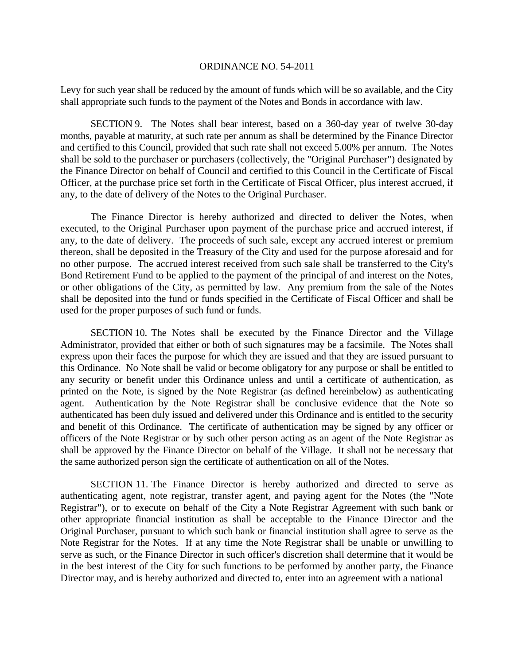Levy for such year shall be reduced by the amount of funds which will be so available, and the City shall appropriate such funds to the payment of the Notes and Bonds in accordance with law.

SECTION 9. The Notes shall bear interest, based on a 360-day year of twelve 30-day months, payable at maturity, at such rate per annum as shall be determined by the Finance Director and certified to this Council, provided that such rate shall not exceed 5.00% per annum. The Notes shall be sold to the purchaser or purchasers (collectively, the "Original Purchaser") designated by the Finance Director on behalf of Council and certified to this Council in the Certificate of Fiscal Officer, at the purchase price set forth in the Certificate of Fiscal Officer, plus interest accrued, if any, to the date of delivery of the Notes to the Original Purchaser.

 The Finance Director is hereby authorized and directed to deliver the Notes, when executed, to the Original Purchaser upon payment of the purchase price and accrued interest, if any, to the date of delivery. The proceeds of such sale, except any accrued interest or premium thereon, shall be deposited in the Treasury of the City and used for the purpose aforesaid and for no other purpose. The accrued interest received from such sale shall be transferred to the City's Bond Retirement Fund to be applied to the payment of the principal of and interest on the Notes, or other obligations of the City, as permitted by law. Any premium from the sale of the Notes shall be deposited into the fund or funds specified in the Certificate of Fiscal Officer and shall be used for the proper purposes of such fund or funds.

SECTION 10. The Notes shall be executed by the Finance Director and the Village Administrator, provided that either or both of such signatures may be a facsimile. The Notes shall express upon their faces the purpose for which they are issued and that they are issued pursuant to this Ordinance. No Note shall be valid or become obligatory for any purpose or shall be entitled to any security or benefit under this Ordinance unless and until a certificate of authentication, as printed on the Note, is signed by the Note Registrar (as defined hereinbelow) as authenticating agent. Authentication by the Note Registrar shall be conclusive evidence that the Note so authenticated has been duly issued and delivered under this Ordinance and is entitled to the security and benefit of this Ordinance. The certificate of authentication may be signed by any officer or officers of the Note Registrar or by such other person acting as an agent of the Note Registrar as shall be approved by the Finance Director on behalf of the Village. It shall not be necessary that the same authorized person sign the certificate of authentication on all of the Notes.

SECTION 11. The Finance Director is hereby authorized and directed to serve as authenticating agent, note registrar, transfer agent, and paying agent for the Notes (the "Note Registrar"), or to execute on behalf of the City a Note Registrar Agreement with such bank or other appropriate financial institution as shall be acceptable to the Finance Director and the Original Purchaser, pursuant to which such bank or financial institution shall agree to serve as the Note Registrar for the Notes. If at any time the Note Registrar shall be unable or unwilling to serve as such, or the Finance Director in such officer's discretion shall determine that it would be in the best interest of the City for such functions to be performed by another party, the Finance Director may, and is hereby authorized and directed to, enter into an agreement with a national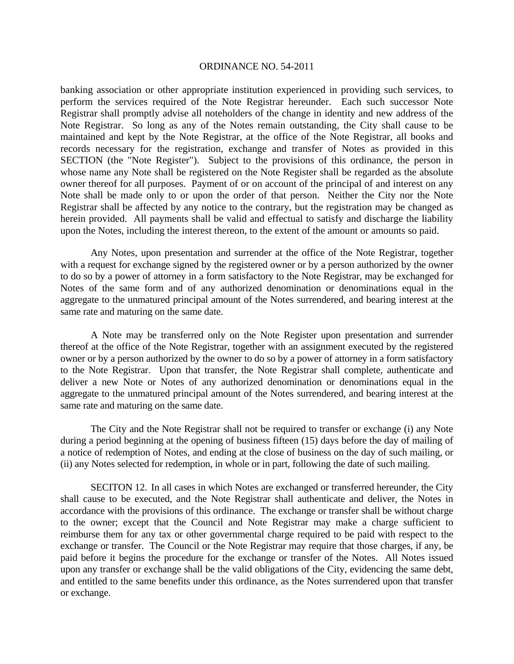banking association or other appropriate institution experienced in providing such services, to perform the services required of the Note Registrar hereunder. Each such successor Note Registrar shall promptly advise all noteholders of the change in identity and new address of the Note Registrar. So long as any of the Notes remain outstanding, the City shall cause to be maintained and kept by the Note Registrar, at the office of the Note Registrar, all books and records necessary for the registration, exchange and transfer of Notes as provided in this SECTION (the "Note Register"). Subject to the provisions of this ordinance, the person in whose name any Note shall be registered on the Note Register shall be regarded as the absolute owner thereof for all purposes. Payment of or on account of the principal of and interest on any Note shall be made only to or upon the order of that person. Neither the City nor the Note Registrar shall be affected by any notice to the contrary, but the registration may be changed as herein provided. All payments shall be valid and effectual to satisfy and discharge the liability upon the Notes, including the interest thereon, to the extent of the amount or amounts so paid.

Any Notes, upon presentation and surrender at the office of the Note Registrar, together with a request for exchange signed by the registered owner or by a person authorized by the owner to do so by a power of attorney in a form satisfactory to the Note Registrar, may be exchanged for Notes of the same form and of any authorized denomination or denominations equal in the aggregate to the unmatured principal amount of the Notes surrendered, and bearing interest at the same rate and maturing on the same date.

A Note may be transferred only on the Note Register upon presentation and surrender thereof at the office of the Note Registrar, together with an assignment executed by the registered owner or by a person authorized by the owner to do so by a power of attorney in a form satisfactory to the Note Registrar. Upon that transfer, the Note Registrar shall complete, authenticate and deliver a new Note or Notes of any authorized denomination or denominations equal in the aggregate to the unmatured principal amount of the Notes surrendered, and bearing interest at the same rate and maturing on the same date.

The City and the Note Registrar shall not be required to transfer or exchange (i) any Note during a period beginning at the opening of business fifteen (15) days before the day of mailing of a notice of redemption of Notes, and ending at the close of business on the day of such mailing, or (ii) any Notes selected for redemption, in whole or in part, following the date of such mailing.

SECITON 12. In all cases in which Notes are exchanged or transferred hereunder, the City shall cause to be executed, and the Note Registrar shall authenticate and deliver, the Notes in accordance with the provisions of this ordinance. The exchange or transfer shall be without charge to the owner; except that the Council and Note Registrar may make a charge sufficient to reimburse them for any tax or other governmental charge required to be paid with respect to the exchange or transfer. The Council or the Note Registrar may require that those charges, if any, be paid before it begins the procedure for the exchange or transfer of the Notes. All Notes issued upon any transfer or exchange shall be the valid obligations of the City, evidencing the same debt, and entitled to the same benefits under this ordinance, as the Notes surrendered upon that transfer or exchange.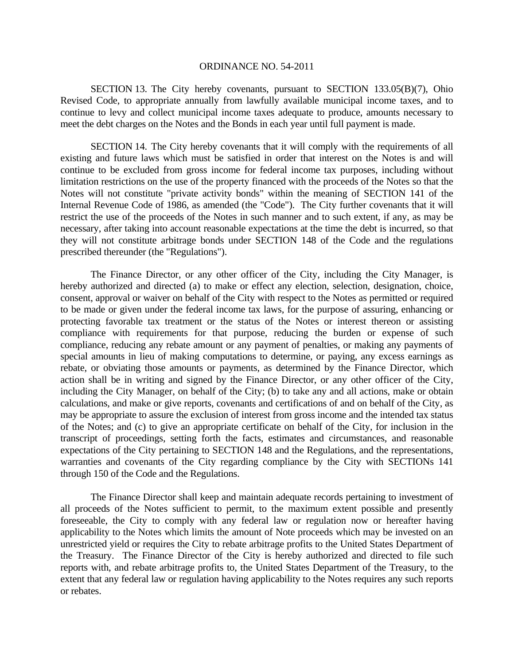SECTION 13. The City hereby covenants, pursuant to SECTION 133.05(B)(7), Ohio Revised Code, to appropriate annually from lawfully available municipal income taxes, and to continue to levy and collect municipal income taxes adequate to produce, amounts necessary to meet the debt charges on the Notes and the Bonds in each year until full payment is made.

SECTION 14. The City hereby covenants that it will comply with the requirements of all existing and future laws which must be satisfied in order that interest on the Notes is and will continue to be excluded from gross income for federal income tax purposes, including without limitation restrictions on the use of the property financed with the proceeds of the Notes so that the Notes will not constitute "private activity bonds" within the meaning of SECTION 141 of the Internal Revenue Code of 1986, as amended (the "Code"). The City further covenants that it will restrict the use of the proceeds of the Notes in such manner and to such extent, if any, as may be necessary, after taking into account reasonable expectations at the time the debt is incurred, so that they will not constitute arbitrage bonds under SECTION 148 of the Code and the regulations prescribed thereunder (the "Regulations").

 The Finance Director, or any other officer of the City, including the City Manager, is hereby authorized and directed (a) to make or effect any election, selection, designation, choice, consent, approval or waiver on behalf of the City with respect to the Notes as permitted or required to be made or given under the federal income tax laws, for the purpose of assuring, enhancing or protecting favorable tax treatment or the status of the Notes or interest thereon or assisting compliance with requirements for that purpose, reducing the burden or expense of such compliance, reducing any rebate amount or any payment of penalties, or making any payments of special amounts in lieu of making computations to determine, or paying, any excess earnings as rebate, or obviating those amounts or payments, as determined by the Finance Director, which action shall be in writing and signed by the Finance Director, or any other officer of the City, including the City Manager, on behalf of the City; (b) to take any and all actions, make or obtain calculations, and make or give reports, covenants and certifications of and on behalf of the City, as may be appropriate to assure the exclusion of interest from gross income and the intended tax status of the Notes; and (c) to give an appropriate certificate on behalf of the City, for inclusion in the transcript of proceedings, setting forth the facts, estimates and circumstances, and reasonable expectations of the City pertaining to SECTION 148 and the Regulations, and the representations, warranties and covenants of the City regarding compliance by the City with SECTIONs 141 through 150 of the Code and the Regulations.

 The Finance Director shall keep and maintain adequate records pertaining to investment of all proceeds of the Notes sufficient to permit, to the maximum extent possible and presently foreseeable, the City to comply with any federal law or regulation now or hereafter having applicability to the Notes which limits the amount of Note proceeds which may be invested on an unrestricted yield or requires the City to rebate arbitrage profits to the United States Department of the Treasury. The Finance Director of the City is hereby authorized and directed to file such reports with, and rebate arbitrage profits to, the United States Department of the Treasury, to the extent that any federal law or regulation having applicability to the Notes requires any such reports or rebates.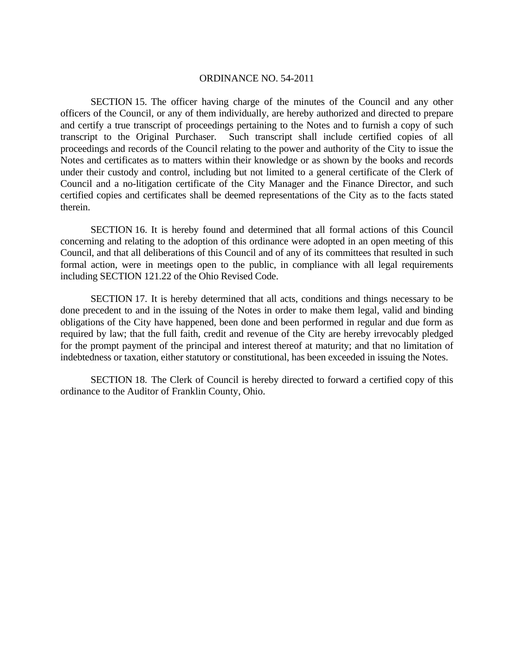SECTION 15. The officer having charge of the minutes of the Council and any other officers of the Council, or any of them individually, are hereby authorized and directed to prepare and certify a true transcript of proceedings pertaining to the Notes and to furnish a copy of such transcript to the Original Purchaser. Such transcript shall include certified copies of all proceedings and records of the Council relating to the power and authority of the City to issue the Notes and certificates as to matters within their knowledge or as shown by the books and records under their custody and control, including but not limited to a general certificate of the Clerk of Council and a no-litigation certificate of the City Manager and the Finance Director, and such certified copies and certificates shall be deemed representations of the City as to the facts stated therein.

SECTION 16. It is hereby found and determined that all formal actions of this Council concerning and relating to the adoption of this ordinance were adopted in an open meeting of this Council, and that all deliberations of this Council and of any of its committees that resulted in such formal action, were in meetings open to the public, in compliance with all legal requirements including SECTION 121.22 of the Ohio Revised Code.

SECTION 17. It is hereby determined that all acts, conditions and things necessary to be done precedent to and in the issuing of the Notes in order to make them legal, valid and binding obligations of the City have happened, been done and been performed in regular and due form as required by law; that the full faith, credit and revenue of the City are hereby irrevocably pledged for the prompt payment of the principal and interest thereof at maturity; and that no limitation of indebtedness or taxation, either statutory or constitutional, has been exceeded in issuing the Notes.

SECTION 18. The Clerk of Council is hereby directed to forward a certified copy of this ordinance to the Auditor of Franklin County, Ohio.